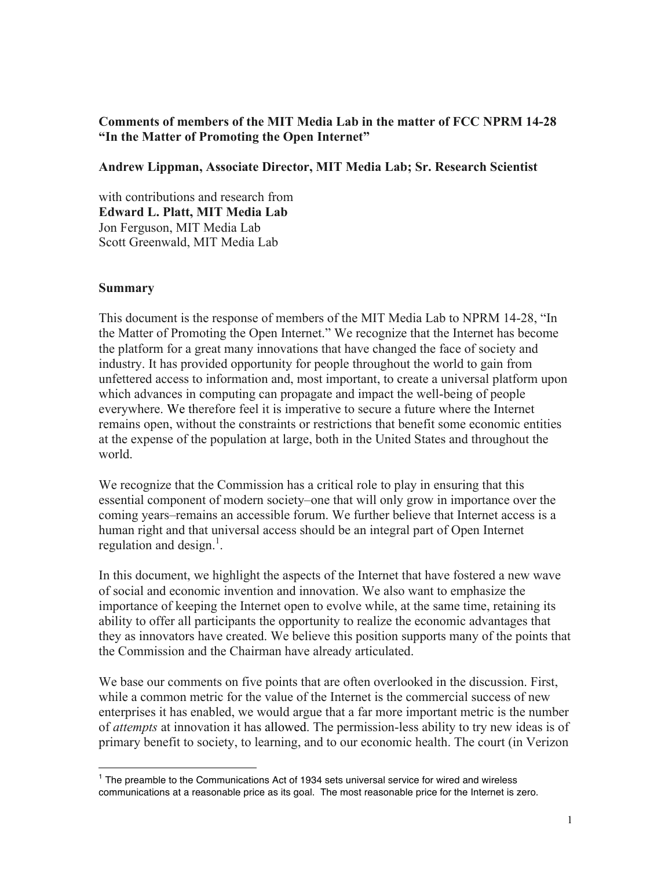## **Comments of members of the MIT Media Lab in the matter of FCC NPRM 14-28 "In the Matter of Promoting the Open Internet"**

### **Andrew Lippman, Associate Director, MIT Media Lab; Sr. Research Scientist**

with contributions and research from **Edward L. Platt, MIT Media Lab** Jon Ferguson, MIT Media Lab Scott Greenwald, MIT Media Lab

#### **Summary**

This document is the response of members of the MIT Media Lab to NPRM 14-28, "In the Matter of Promoting the Open Internet." We recognize that the Internet has become the platform for a great many innovations that have changed the face of society and industry. It has provided opportunity for people throughout the world to gain from unfettered access to information and, most important, to create a universal platform upon which advances in computing can propagate and impact the well-being of people everywhere. We therefore feel it is imperative to secure a future where the Internet remains open, without the constraints or restrictions that benefit some economic entities at the expense of the population at large, both in the United States and throughout the world.

We recognize that the Commission has a critical role to play in ensuring that this essential component of modern society–one that will only grow in importance over the coming years–remains an accessible forum. We further believe that Internet access is a human right and that universal access should be an integral part of Open Internet regulation and design.<sup>1</sup>.

In this document, we highlight the aspects of the Internet that have fostered a new wave of social and economic invention and innovation. We also want to emphasize the importance of keeping the Internet open to evolve while, at the same time, retaining its ability to offer all participants the opportunity to realize the economic advantages that they as innovators have created. We believe this position supports many of the points that the Commission and the Chairman have already articulated.

We base our comments on five points that are often overlooked in the discussion. First, while a common metric for the value of the Internet is the commercial success of new enterprises it has enabled, we would argue that a far more important metric is the number of *attempts* at innovation it has allowed. The permission-less ability to try new ideas is of primary benefit to society, to learning, and to our economic health. The court (in Verizon

 $<sup>1</sup>$  The preamble to the Communications Act of 1934 sets universal service for wired and wireless</sup> communications at a reasonable price as its goal. The most reasonable price for the Internet is zero.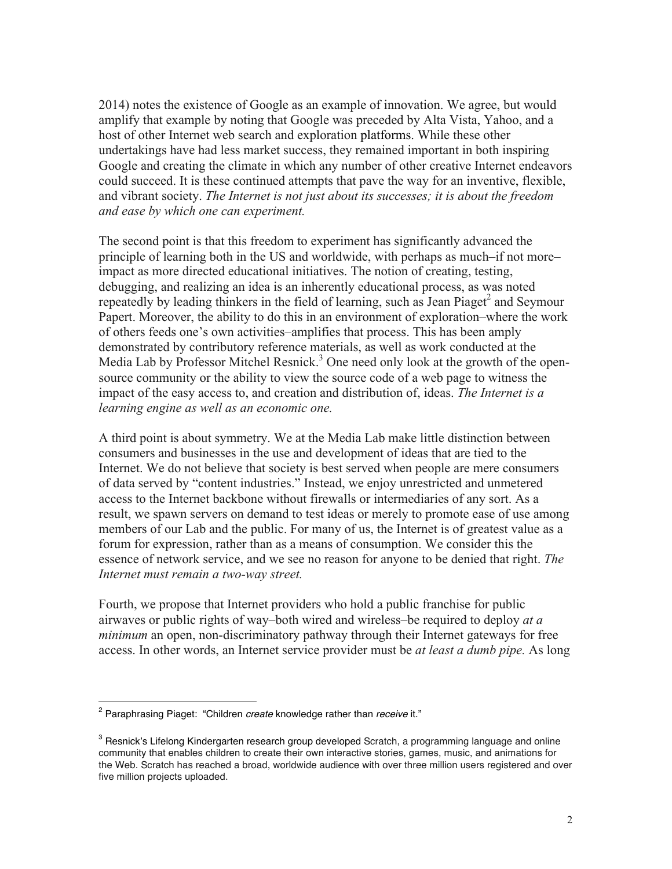2014) notes the existence of Google as an example of innovation. We agree, but would amplify that example by noting that Google was preceded by Alta Vista, Yahoo, and a host of other Internet web search and exploration platforms. While these other undertakings have had less market success, they remained important in both inspiring Google and creating the climate in which any number of other creative Internet endeavors could succeed. It is these continued attempts that pave the way for an inventive, flexible, and vibrant society. *The Internet is not just about its successes; it is about the freedom and ease by which one can experiment.*

The second point is that this freedom to experiment has significantly advanced the principle of learning both in the US and worldwide, with perhaps as much–if not more– impact as more directed educational initiatives. The notion of creating, testing, debugging, and realizing an idea is an inherently educational process, as was noted repeatedly by leading thinkers in the field of learning, such as Jean Piaget<sup>2</sup> and Seymour Papert. Moreover, the ability to do this in an environment of exploration–where the work of others feeds one's own activities–amplifies that process. This has been amply demonstrated by contributory reference materials, as well as work conducted at the Media Lab by Professor Mitchel Resnick.<sup>3</sup> One need only look at the growth of the opensource community or the ability to view the source code of a web page to witness the impact of the easy access to, and creation and distribution of, ideas. *The Internet is a learning engine as well as an economic one.*

A third point is about symmetry. We at the Media Lab make little distinction between consumers and businesses in the use and development of ideas that are tied to the Internet. We do not believe that society is best served when people are mere consumers of data served by "content industries." Instead, we enjoy unrestricted and unmetered access to the Internet backbone without firewalls or intermediaries of any sort. As a result, we spawn servers on demand to test ideas or merely to promote ease of use among members of our Lab and the public. For many of us, the Internet is of greatest value as a forum for expression, rather than as a means of consumption. We consider this the essence of network service, and we see no reason for anyone to be denied that right. *The Internet must remain a two-way street.*

Fourth, we propose that Internet providers who hold a public franchise for public airwaves or public rights of way–both wired and wireless–be required to deploy *at a minimum* an open, non-discriminatory pathway through their Internet gateways for free access. In other words, an Internet service provider must be *at least a dumb pipe.* As long

 <sup>2</sup> Paraphrasing Piaget: "Children *create* knowledge rather than *receive* it."

 $3$  Resnick's Lifelong Kindergarten research group developed Scratch, a programming language and online community that enables children to create their own interactive stories, games, music, and animations for the Web. Scratch has reached a broad, worldwide audience with over three million users registered and over five million projects uploaded.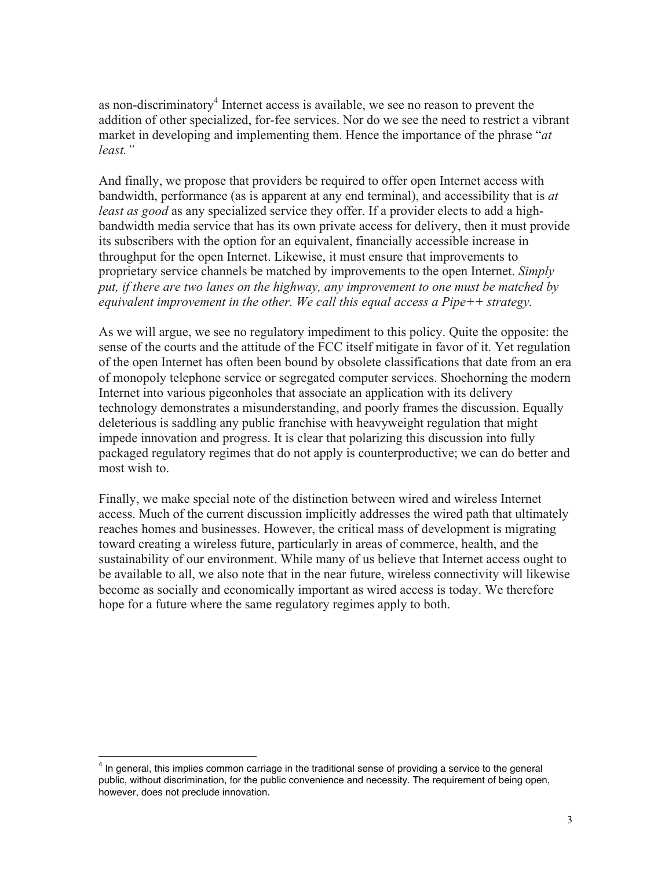as non-discriminatory<sup>4</sup> Internet access is available, we see no reason to prevent the addition of other specialized, for-fee services. Nor do we see the need to restrict a vibrant market in developing and implementing them. Hence the importance of the phrase "*at least."*

And finally, we propose that providers be required to offer open Internet access with bandwidth, performance (as is apparent at any end terminal), and accessibility that is *at least as good* as any specialized service they offer. If a provider elects to add a highbandwidth media service that has its own private access for delivery, then it must provide its subscribers with the option for an equivalent, financially accessible increase in throughput for the open Internet. Likewise, it must ensure that improvements to proprietary service channels be matched by improvements to the open Internet. *Simply put, if there are two lanes on the highway, any improvement to one must be matched by equivalent improvement in the other. We call this equal access a Pipe++ strategy.*

As we will argue, we see no regulatory impediment to this policy. Quite the opposite: the sense of the courts and the attitude of the FCC itself mitigate in favor of it. Yet regulation of the open Internet has often been bound by obsolete classifications that date from an era of monopoly telephone service or segregated computer services. Shoehorning the modern Internet into various pigeonholes that associate an application with its delivery technology demonstrates a misunderstanding, and poorly frames the discussion. Equally deleterious is saddling any public franchise with heavyweight regulation that might impede innovation and progress. It is clear that polarizing this discussion into fully packaged regulatory regimes that do not apply is counterproductive; we can do better and most wish to.

Finally, we make special note of the distinction between wired and wireless Internet access. Much of the current discussion implicitly addresses the wired path that ultimately reaches homes and businesses. However, the critical mass of development is migrating toward creating a wireless future, particularly in areas of commerce, health, and the sustainability of our environment. While many of us believe that Internet access ought to be available to all, we also note that in the near future, wireless connectivity will likewise become as socially and economically important as wired access is today. We therefore hope for a future where the same regulatory regimes apply to both.

<sup>&</sup>lt;sup>4</sup> In general, this implies common carriage in the traditional sense of providing a service to the general public, without discrimination, for the public convenience and necessity. The requirement of being open, however, does not preclude innovation.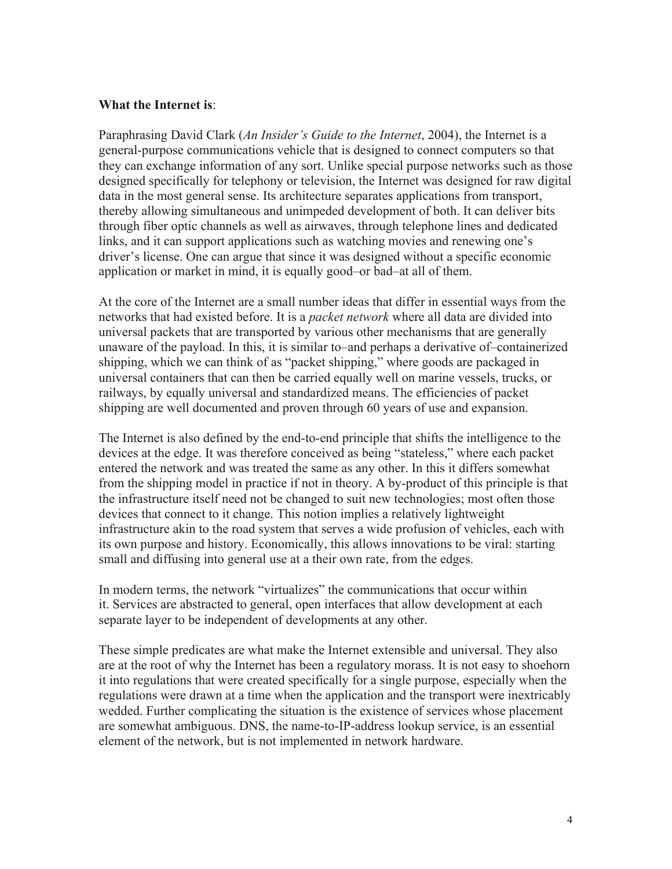#### **What the Internet is**:

Paraphrasing David Clark (*An Insider's Guide to the Internet*, 2004), the Internet is a general-purpose communications vehicle that is designed to connect computers so that they can exchange information of any sort. Unlike special purpose networks such as those designed specifically for telephony or television, the Internet was designed for raw digital data in the most general sense. Its architecture separates applications from transport, thereby allowing simultaneous and unimpeded development of both. It can deliver bits through fiber optic channels as well as airwaves, through telephone lines and dedicated links, and it can support applications such as watching movies and renewing one's driver's license. One can argue that since it was designed without a specific economic application or market in mind, it is equally good–or bad–at all of them.

At the core of the Internet are a small number ideas that differ in essential ways from the networks that had existed before. It is a *packet network* where all data are divided into universal packets that are transported by various other mechanisms that are generally unaware of the payload. In this, it is similar to–and perhaps a derivative of–containerized shipping, which we can think of as "packet shipping," where goods are packaged in universal containers that can then be carried equally well on marine vessels, trucks, or railways, by equally universal and standardized means. The efficiencies of packet shipping are well documented and proven through 60 years of use and expansion.

The Internet is also defined by the end-to-end principle that shifts the intelligence to the devices at the edge. It was therefore conceived as being "stateless," where each packet entered the network and was treated the same as any other. In this it differs somewhat from the shipping model in practice if not in theory. A by-product of this principle is that the infrastructure itself need not be changed to suit new technologies; most often those devices that connect to it change. This notion implies a relatively lightweight infrastructure akin to the road system that serves a wide profusion of vehicles, each with its own purpose and history. Economically, this allows innovations to be viral: starting small and diffusing into general use at a their own rate, from the edges.

In modern terms, the network "virtualizes" the communications that occur within it. Services are abstracted to general, open interfaces that allow development at each separate layer to be independent of developments at any other.

These simple predicates are what make the Internet extensible and universal. They also are at the root of why the Internet has been a regulatory morass. It is not easy to shoehorn it into regulations that were created specifically for a single purpose, especially when the regulations were drawn at a time when the application and the transport were inextricably wedded. Further complicating the situation is the existence of services whose placement are somewhat ambiguous. DNS, the name-to-IP-address lookup service, is an essential element of the network, but is not implemented in network hardware.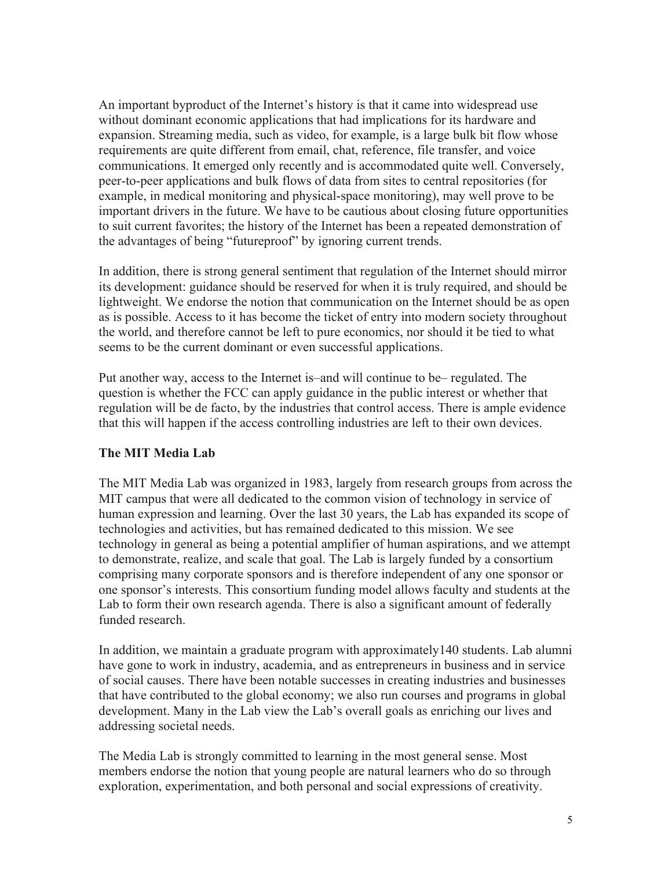An important byproduct of the Internet's history is that it came into widespread use without dominant economic applications that had implications for its hardware and expansion. Streaming media, such as video, for example, is a large bulk bit flow whose requirements are quite different from email, chat, reference, file transfer, and voice communications. It emerged only recently and is accommodated quite well. Conversely, peer-to-peer applications and bulk flows of data from sites to central repositories (for example, in medical monitoring and physical-space monitoring), may well prove to be important drivers in the future. We have to be cautious about closing future opportunities to suit current favorites; the history of the Internet has been a repeated demonstration of the advantages of being "futureproof" by ignoring current trends.

In addition, there is strong general sentiment that regulation of the Internet should mirror its development: guidance should be reserved for when it is truly required, and should be lightweight. We endorse the notion that communication on the Internet should be as open as is possible. Access to it has become the ticket of entry into modern society throughout the world, and therefore cannot be left to pure economics, nor should it be tied to what seems to be the current dominant or even successful applications.

Put another way, access to the Internet is–and will continue to be– regulated. The question is whether the FCC can apply guidance in the public interest or whether that regulation will be de facto, by the industries that control access. There is ample evidence that this will happen if the access controlling industries are left to their own devices.

#### **The MIT Media Lab**

The MIT Media Lab was organized in 1983, largely from research groups from across the MIT campus that were all dedicated to the common vision of technology in service of human expression and learning. Over the last 30 years, the Lab has expanded its scope of technologies and activities, but has remained dedicated to this mission. We see technology in general as being a potential amplifier of human aspirations, and we attempt to demonstrate, realize, and scale that goal. The Lab is largely funded by a consortium comprising many corporate sponsors and is therefore independent of any one sponsor or one sponsor's interests. This consortium funding model allows faculty and students at the Lab to form their own research agenda. There is also a significant amount of federally funded research.

In addition, we maintain a graduate program with approximately140 students. Lab alumni have gone to work in industry, academia, and as entrepreneurs in business and in service of social causes. There have been notable successes in creating industries and businesses that have contributed to the global economy; we also run courses and programs in global development. Many in the Lab view the Lab's overall goals as enriching our lives and addressing societal needs.

The Media Lab is strongly committed to learning in the most general sense. Most members endorse the notion that young people are natural learners who do so through exploration, experimentation, and both personal and social expressions of creativity.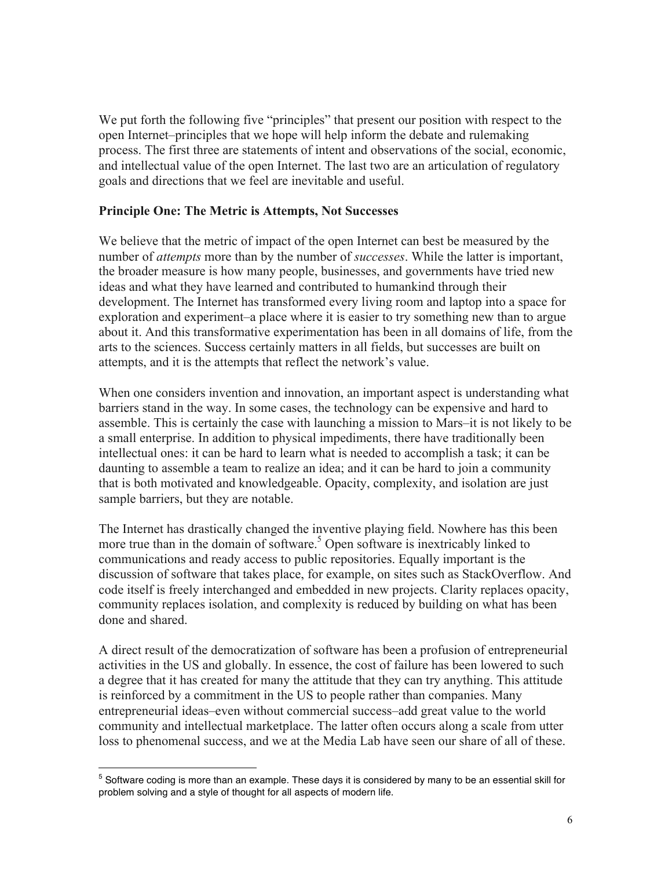We put forth the following five "principles" that present our position with respect to the open Internet–principles that we hope will help inform the debate and rulemaking process. The first three are statements of intent and observations of the social, economic, and intellectual value of the open Internet. The last two are an articulation of regulatory goals and directions that we feel are inevitable and useful.

### **Principle One: The Metric is Attempts, Not Successes**

We believe that the metric of impact of the open Internet can best be measured by the number of *attempts* more than by the number of *successes*. While the latter is important, the broader measure is how many people, businesses, and governments have tried new ideas and what they have learned and contributed to humankind through their development. The Internet has transformed every living room and laptop into a space for exploration and experiment–a place where it is easier to try something new than to argue about it. And this transformative experimentation has been in all domains of life, from the arts to the sciences. Success certainly matters in all fields, but successes are built on attempts, and it is the attempts that reflect the network's value.

When one considers invention and innovation, an important aspect is understanding what barriers stand in the way. In some cases, the technology can be expensive and hard to assemble. This is certainly the case with launching a mission to Mars–it is not likely to be a small enterprise. In addition to physical impediments, there have traditionally been intellectual ones: it can be hard to learn what is needed to accomplish a task; it can be daunting to assemble a team to realize an idea; and it can be hard to join a community that is both motivated and knowledgeable. Opacity, complexity, and isolation are just sample barriers, but they are notable.

The Internet has drastically changed the inventive playing field. Nowhere has this been more true than in the domain of software.<sup>5</sup> Open software is inextricably linked to communications and ready access to public repositories. Equally important is the discussion of software that takes place, for example, on sites such as StackOverflow. And code itself is freely interchanged and embedded in new projects. Clarity replaces opacity, community replaces isolation, and complexity is reduced by building on what has been done and shared.

A direct result of the democratization of software has been a profusion of entrepreneurial activities in the US and globally. In essence, the cost of failure has been lowered to such a degree that it has created for many the attitude that they can try anything. This attitude is reinforced by a commitment in the US to people rather than companies. Many entrepreneurial ideas–even without commercial success–add great value to the world community and intellectual marketplace. The latter often occurs along a scale from utter loss to phenomenal success, and we at the Media Lab have seen our share of all of these.

 $<sup>5</sup>$  Software coding is more than an example. These days it is considered by many to be an essential skill for</sup> problem solving and a style of thought for all aspects of modern life.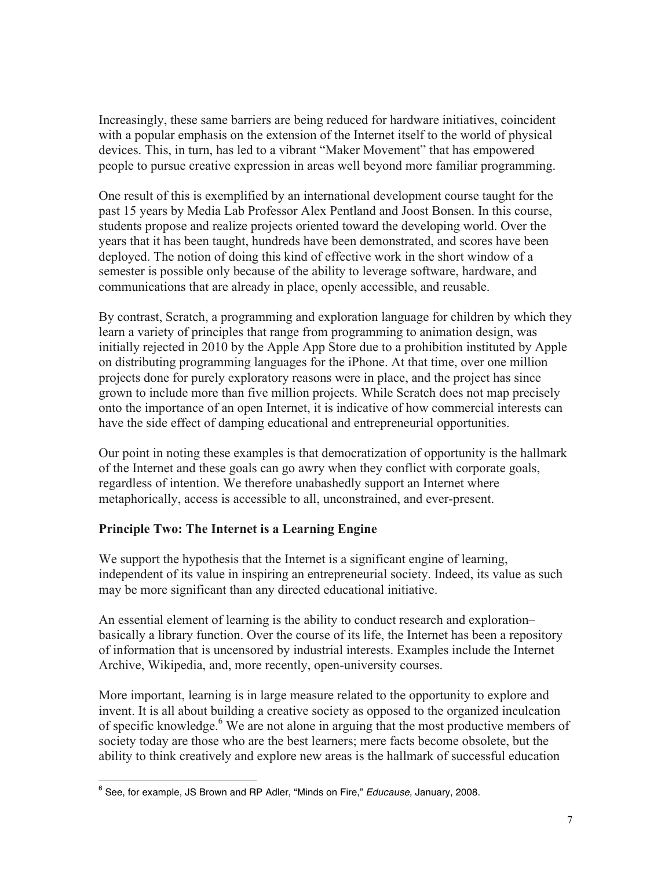Increasingly, these same barriers are being reduced for hardware initiatives, coincident with a popular emphasis on the extension of the Internet itself to the world of physical devices. This, in turn, has led to a vibrant "Maker Movement" that has empowered people to pursue creative expression in areas well beyond more familiar programming.

One result of this is exemplified by an international development course taught for the past 15 years by Media Lab Professor Alex Pentland and Joost Bonsen. In this course, students propose and realize projects oriented toward the developing world. Over the years that it has been taught, hundreds have been demonstrated, and scores have been deployed. The notion of doing this kind of effective work in the short window of a semester is possible only because of the ability to leverage software, hardware, and communications that are already in place, openly accessible, and reusable.

By contrast, Scratch, a programming and exploration language for children by which they learn a variety of principles that range from programming to animation design, was initially rejected in 2010 by the Apple App Store due to a prohibition instituted by Apple on distributing programming languages for the iPhone. At that time, over one million projects done for purely exploratory reasons were in place, and the project has since grown to include more than five million projects. While Scratch does not map precisely onto the importance of an open Internet, it is indicative of how commercial interests can have the side effect of damping educational and entrepreneurial opportunities.

Our point in noting these examples is that democratization of opportunity is the hallmark of the Internet and these goals can go awry when they conflict with corporate goals, regardless of intention. We therefore unabashedly support an Internet where metaphorically, access is accessible to all, unconstrained, and ever-present.

## **Principle Two: The Internet is a Learning Engine**

We support the hypothesis that the Internet is a significant engine of learning, independent of its value in inspiring an entrepreneurial society. Indeed, its value as such may be more significant than any directed educational initiative.

An essential element of learning is the ability to conduct research and exploration– basically a library function. Over the course of its life, the Internet has been a repository of information that is uncensored by industrial interests. Examples include the Internet Archive, Wikipedia, and, more recently, open-university courses.

More important, learning is in large measure related to the opportunity to explore and invent. It is all about building a creative society as opposed to the organized inculcation of specific knowledge.<sup>6</sup> We are not alone in arguing that the most productive members of society today are those who are the best learners; mere facts become obsolete, but the ability to think creatively and explore new areas is the hallmark of successful education

 <sup>6</sup> See, for example, JS Brown and RP Adler, "Minds on Fire," *Educause*, January, 2008.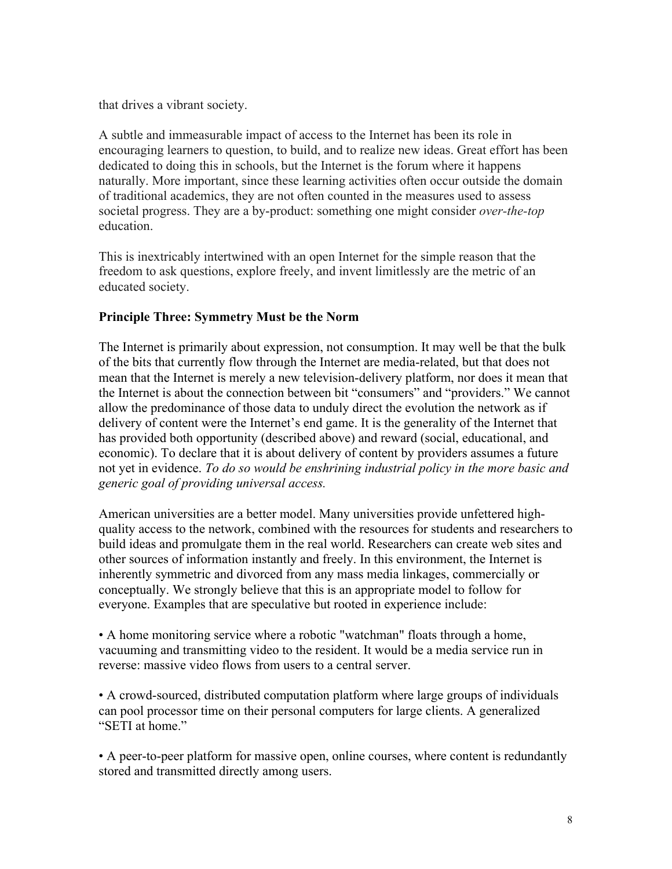that drives a vibrant society.

A subtle and immeasurable impact of access to the Internet has been its role in encouraging learners to question, to build, and to realize new ideas. Great effort has been dedicated to doing this in schools, but the Internet is the forum where it happens naturally. More important, since these learning activities often occur outside the domain of traditional academics, they are not often counted in the measures used to assess societal progress. They are a by-product: something one might consider *over-the-top*  education.

This is inextricably intertwined with an open Internet for the simple reason that the freedom to ask questions, explore freely, and invent limitlessly are the metric of an educated society.

## **Principle Three: Symmetry Must be the Norm**

The Internet is primarily about expression, not consumption. It may well be that the bulk of the bits that currently flow through the Internet are media-related, but that does not mean that the Internet is merely a new television-delivery platform, nor does it mean that the Internet is about the connection between bit "consumers" and "providers." We cannot allow the predominance of those data to unduly direct the evolution the network as if delivery of content were the Internet's end game. It is the generality of the Internet that has provided both opportunity (described above) and reward (social, educational, and economic). To declare that it is about delivery of content by providers assumes a future not yet in evidence. *To do so would be enshrining industrial policy in the more basic and generic goal of providing universal access.*

American universities are a better model. Many universities provide unfettered highquality access to the network, combined with the resources for students and researchers to build ideas and promulgate them in the real world. Researchers can create web sites and other sources of information instantly and freely. In this environment, the Internet is inherently symmetric and divorced from any mass media linkages, commercially or conceptually. We strongly believe that this is an appropriate model to follow for everyone. Examples that are speculative but rooted in experience include:

• A home monitoring service where a robotic "watchman" floats through a home, vacuuming and transmitting video to the resident. It would be a media service run in reverse: massive video flows from users to a central server.

• A crowd-sourced, distributed computation platform where large groups of individuals can pool processor time on their personal computers for large clients. A generalized "SETI at home."

• A peer-to-peer platform for massive open, online courses, where content is redundantly stored and transmitted directly among users.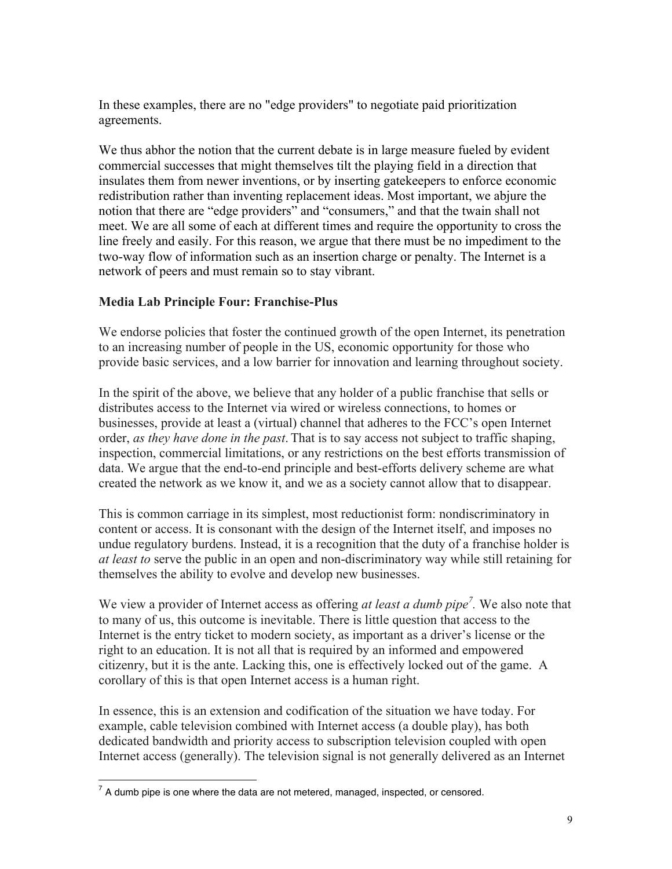In these examples, there are no "edge providers" to negotiate paid prioritization agreements.

We thus abhor the notion that the current debate is in large measure fueled by evident commercial successes that might themselves tilt the playing field in a direction that insulates them from newer inventions, or by inserting gatekeepers to enforce economic redistribution rather than inventing replacement ideas. Most important, we abjure the notion that there are "edge providers" and "consumers," and that the twain shall not meet. We are all some of each at different times and require the opportunity to cross the line freely and easily. For this reason, we argue that there must be no impediment to the two-way flow of information such as an insertion charge or penalty. The Internet is a network of peers and must remain so to stay vibrant.

## **Media Lab Principle Four: Franchise-Plus**

We endorse policies that foster the continued growth of the open Internet, its penetration to an increasing number of people in the US, economic opportunity for those who provide basic services, and a low barrier for innovation and learning throughout society.

In the spirit of the above, we believe that any holder of a public franchise that sells or distributes access to the Internet via wired or wireless connections, to homes or businesses, provide at least a (virtual) channel that adheres to the FCC's open Internet order, *as they have done in the past*. That is to say access not subject to traffic shaping, inspection, commercial limitations, or any restrictions on the best efforts transmission of data. We argue that the end-to-end principle and best-efforts delivery scheme are what created the network as we know it, and we as a society cannot allow that to disappear.

This is common carriage in its simplest, most reductionist form: nondiscriminatory in content or access. It is consonant with the design of the Internet itself, and imposes no undue regulatory burdens. Instead, it is a recognition that the duty of a franchise holder is *at least to* serve the public in an open and non-discriminatory way while still retaining for themselves the ability to evolve and develop new businesses.

We view a provider of Internet access as offering *at least a dumb pipe<sup>7</sup> .* We also note that to many of us, this outcome is inevitable. There is little question that access to the Internet is the entry ticket to modern society, as important as a driver's license or the right to an education. It is not all that is required by an informed and empowered citizenry, but it is the ante. Lacking this, one is effectively locked out of the game. A corollary of this is that open Internet access is a human right.

In essence, this is an extension and codification of the situation we have today. For example, cable television combined with Internet access (a double play), has both dedicated bandwidth and priority access to subscription television coupled with open Internet access (generally). The television signal is not generally delivered as an Internet

 $7$  A dumb pipe is one where the data are not metered, managed, inspected, or censored.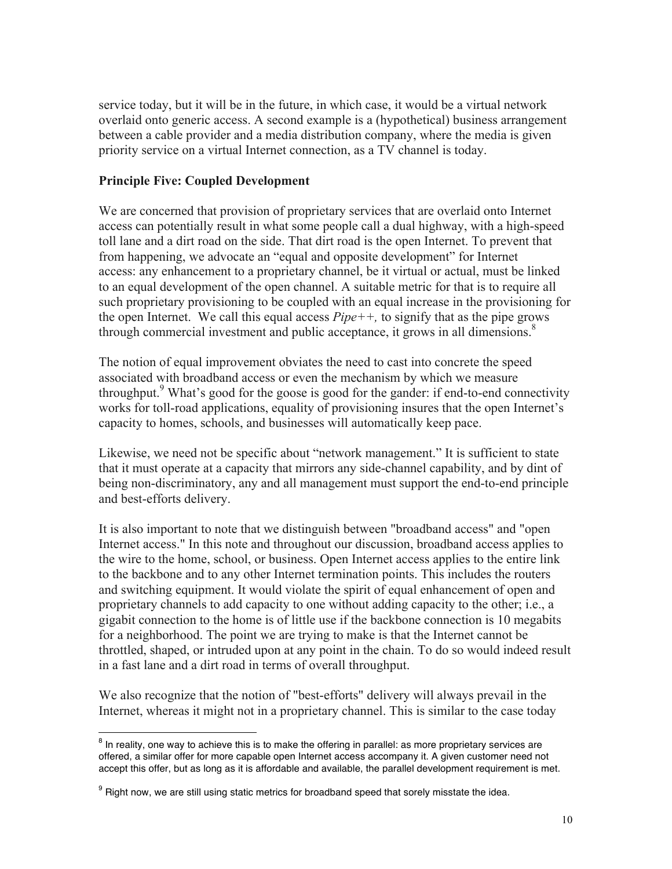service today, but it will be in the future, in which case, it would be a virtual network overlaid onto generic access. A second example is a (hypothetical) business arrangement between a cable provider and a media distribution company, where the media is given priority service on a virtual Internet connection, as a TV channel is today.

### **Principle Five: Coupled Development**

We are concerned that provision of proprietary services that are overlaid onto Internet access can potentially result in what some people call a dual highway, with a high-speed toll lane and a dirt road on the side. That dirt road is the open Internet. To prevent that from happening, we advocate an "equal and opposite development" for Internet access: any enhancement to a proprietary channel, be it virtual or actual, must be linked to an equal development of the open channel. A suitable metric for that is to require all such proprietary provisioning to be coupled with an equal increase in the provisioning for the open Internet. We call this equal access *Pipe++,* to signify that as the pipe grows through commercial investment and public acceptance, it grows in all dimensions.<sup>8</sup>

The notion of equal improvement obviates the need to cast into concrete the speed associated with broadband access or even the mechanism by which we measure throughput.<sup>9</sup> What's good for the goose is good for the gander: if end-to-end connectivity works for toll-road applications, equality of provisioning insures that the open Internet's capacity to homes, schools, and businesses will automatically keep pace.

Likewise, we need not be specific about "network management." It is sufficient to state that it must operate at a capacity that mirrors any side-channel capability, and by dint of being non-discriminatory, any and all management must support the end-to-end principle and best-efforts delivery.

It is also important to note that we distinguish between "broadband access" and "open Internet access." In this note and throughout our discussion, broadband access applies to the wire to the home, school, or business. Open Internet access applies to the entire link to the backbone and to any other Internet termination points. This includes the routers and switching equipment. It would violate the spirit of equal enhancement of open and proprietary channels to add capacity to one without adding capacity to the other; i.e., a gigabit connection to the home is of little use if the backbone connection is 10 megabits for a neighborhood. The point we are trying to make is that the Internet cannot be throttled, shaped, or intruded upon at any point in the chain. To do so would indeed result in a fast lane and a dirt road in terms of overall throughput.

We also recognize that the notion of "best-efforts" delivery will always prevail in the Internet, whereas it might not in a proprietary channel. This is similar to the case today

<sup>&</sup>lt;sup>8</sup> In reality, one way to achieve this is to make the offering in parallel: as more proprietary services are offered, a similar offer for more capable open Internet access accompany it. A given customer need not accept this offer, but as long as it is affordable and available, the parallel development requirement is met.

 $9$  Right now, we are still using static metrics for broadband speed that sorely misstate the idea.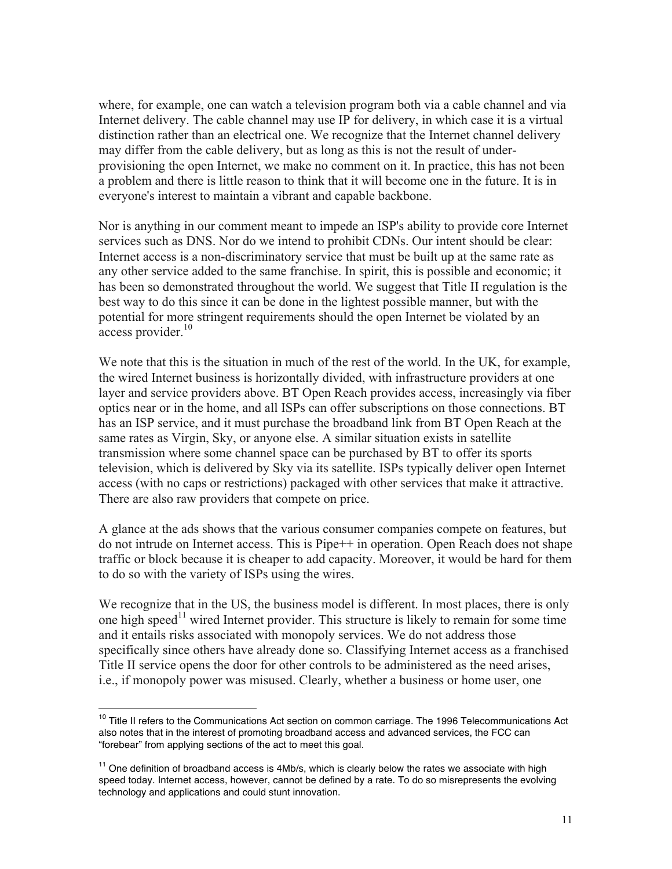where, for example, one can watch a television program both via a cable channel and via Internet delivery. The cable channel may use IP for delivery, in which case it is a virtual distinction rather than an electrical one. We recognize that the Internet channel delivery may differ from the cable delivery, but as long as this is not the result of underprovisioning the open Internet, we make no comment on it. In practice, this has not been a problem and there is little reason to think that it will become one in the future. It is in everyone's interest to maintain a vibrant and capable backbone.

Nor is anything in our comment meant to impede an ISP's ability to provide core Internet services such as DNS. Nor do we intend to prohibit CDNs. Our intent should be clear: Internet access is a non-discriminatory service that must be built up at the same rate as any other service added to the same franchise. In spirit, this is possible and economic; it has been so demonstrated throughout the world. We suggest that Title II regulation is the best way to do this since it can be done in the lightest possible manner, but with the potential for more stringent requirements should the open Internet be violated by an access provider.<sup>10</sup>

We note that this is the situation in much of the rest of the world. In the UK, for example, the wired Internet business is horizontally divided, with infrastructure providers at one layer and service providers above. BT Open Reach provides access, increasingly via fiber optics near or in the home, and all ISPs can offer subscriptions on those connections. BT has an ISP service, and it must purchase the broadband link from BT Open Reach at the same rates as Virgin, Sky, or anyone else. A similar situation exists in satellite transmission where some channel space can be purchased by BT to offer its sports television, which is delivered by Sky via its satellite. ISPs typically deliver open Internet access (with no caps or restrictions) packaged with other services that make it attractive. There are also raw providers that compete on price.

A glance at the ads shows that the various consumer companies compete on features, but do not intrude on Internet access. This is Pipe++ in operation. Open Reach does not shape traffic or block because it is cheaper to add capacity. Moreover, it would be hard for them to do so with the variety of ISPs using the wires.

We recognize that in the US, the business model is different. In most places, there is only one high speed<sup>11</sup> wired Internet provider. This structure is likely to remain for some time and it entails risks associated with monopoly services. We do not address those specifically since others have already done so. Classifying Internet access as a franchised Title II service opens the door for other controls to be administered as the need arises, i.e., if monopoly power was misused. Clearly, whether a business or home user, one

<sup>&</sup>lt;sup>10</sup> Title II refers to the Communications Act section on common carriage. The 1996 Telecommunications Act also notes that in the interest of promoting broadband access and advanced services, the FCC can "forebear" from applying sections of the act to meet this goal.

 $11$  One definition of broadband access is 4Mb/s, which is clearly below the rates we associate with high speed today. Internet access, however, cannot be defined by a rate. To do so misrepresents the evolving technology and applications and could stunt innovation.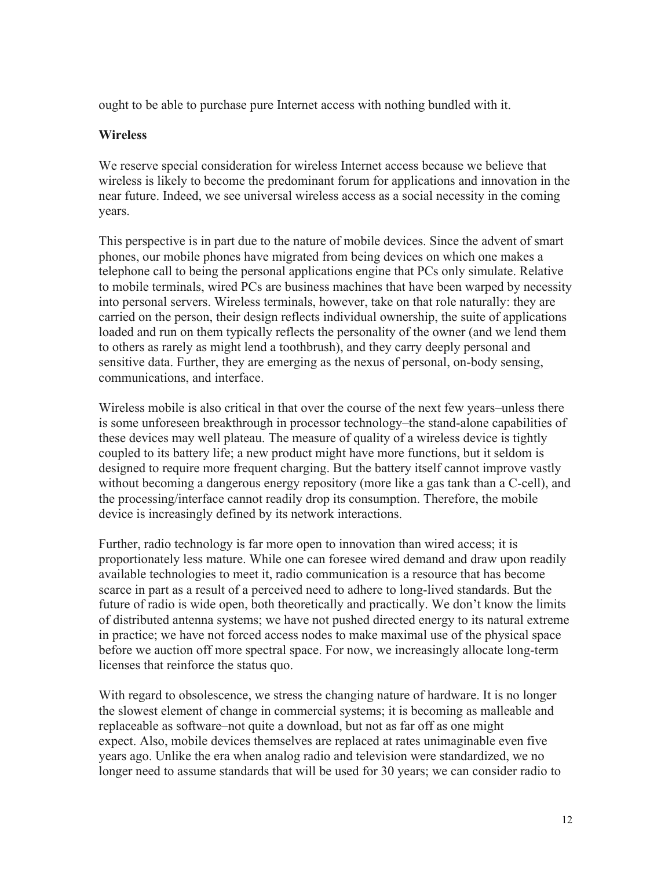ought to be able to purchase pure Internet access with nothing bundled with it.

### **Wireless**

We reserve special consideration for wireless Internet access because we believe that wireless is likely to become the predominant forum for applications and innovation in the near future. Indeed, we see universal wireless access as a social necessity in the coming years.

This perspective is in part due to the nature of mobile devices. Since the advent of smart phones, our mobile phones have migrated from being devices on which one makes a telephone call to being the personal applications engine that PCs only simulate. Relative to mobile terminals, wired PCs are business machines that have been warped by necessity into personal servers. Wireless terminals, however, take on that role naturally: they are carried on the person, their design reflects individual ownership, the suite of applications loaded and run on them typically reflects the personality of the owner (and we lend them to others as rarely as might lend a toothbrush), and they carry deeply personal and sensitive data. Further, they are emerging as the nexus of personal, on-body sensing, communications, and interface.

Wireless mobile is also critical in that over the course of the next few years–unless there is some unforeseen breakthrough in processor technology–the stand-alone capabilities of these devices may well plateau. The measure of quality of a wireless device is tightly coupled to its battery life; a new product might have more functions, but it seldom is designed to require more frequent charging. But the battery itself cannot improve vastly without becoming a dangerous energy repository (more like a gas tank than a C-cell), and the processing/interface cannot readily drop its consumption. Therefore, the mobile device is increasingly defined by its network interactions.

Further, radio technology is far more open to innovation than wired access; it is proportionately less mature. While one can foresee wired demand and draw upon readily available technologies to meet it, radio communication is a resource that has become scarce in part as a result of a perceived need to adhere to long-lived standards. But the future of radio is wide open, both theoretically and practically. We don't know the limits of distributed antenna systems; we have not pushed directed energy to its natural extreme in practice; we have not forced access nodes to make maximal use of the physical space before we auction off more spectral space. For now, we increasingly allocate long-term licenses that reinforce the status quo.

With regard to obsolescence, we stress the changing nature of hardware. It is no longer the slowest element of change in commercial systems; it is becoming as malleable and replaceable as software–not quite a download, but not as far off as one might expect. Also, mobile devices themselves are replaced at rates unimaginable even five years ago. Unlike the era when analog radio and television were standardized, we no longer need to assume standards that will be used for 30 years; we can consider radio to